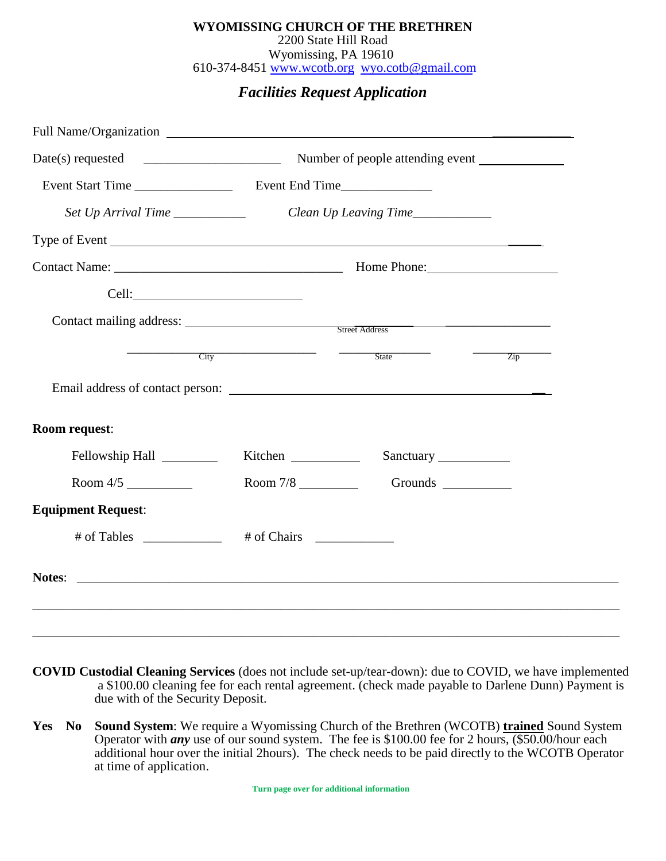#### 610-374-8451 [www.wcotb.org](http://www.wcotb.org/)  [wyo.cotb@gmail.com](mailto:wyocotb@gmail.com) Wyomissing, PA 19610 2200 State Hill Road **WYOMISSING CHURCH OF THE BRETHREN**

## *Facilities Request Application*

| Full Name/Organization                                                            |         |                          |                  |
|-----------------------------------------------------------------------------------|---------|--------------------------|------------------|
|                                                                                   |         |                          |                  |
|                                                                                   |         |                          |                  |
|                                                                                   |         |                          |                  |
|                                                                                   |         |                          |                  |
|                                                                                   |         |                          |                  |
|                                                                                   |         |                          |                  |
| Contact mailing address: Street Address Street Address                            |         |                          |                  |
| City                                                                              |         | State                    | $\overline{Zip}$ |
|                                                                                   |         |                          |                  |
| Room request:                                                                     |         |                          |                  |
| Fellowship Hall                                                                   | Kitchen |                          |                  |
| Room $4/5$                                                                        |         | Room 7/8 Grounds Grounds |                  |
| <b>Equipment Request:</b>                                                         |         |                          |                  |
| $\#$ of Tables _____________ $\#$ of Chairs ____________                          |         |                          |                  |
|                                                                                   |         |                          |                  |
| ,我们也不能在这里的时候,我们也不能在这里的时候,我们也不能在这里的时候,我们也不能会在这里的时候,我们也不能会在这里的时候,我们也不能会在这里的时候,我们也不能 |         |                          |                  |
|                                                                                   |         |                          |                  |

- **COVID Custodial Cleaning Services** (does not include set-up/tear-down): due to COVID, we have implemented a \$100.00 cleaning fee for each rental agreement. (check made payable to Darlene Dunn) Payment is due with of the Security Deposit.
- **Yes No Sound System**: We require a Wyomissing Church of the Brethren (WCOTB) **trained** Sound System Operator with *any* use of our sound system. The fee is \$100.00 fee for 2 hours, (\$50.00/hour each additional hour over the initial 2hours). The check needs to be paid directly to the WCOTB Operator at time of application.

 **Turn page over for additional information**